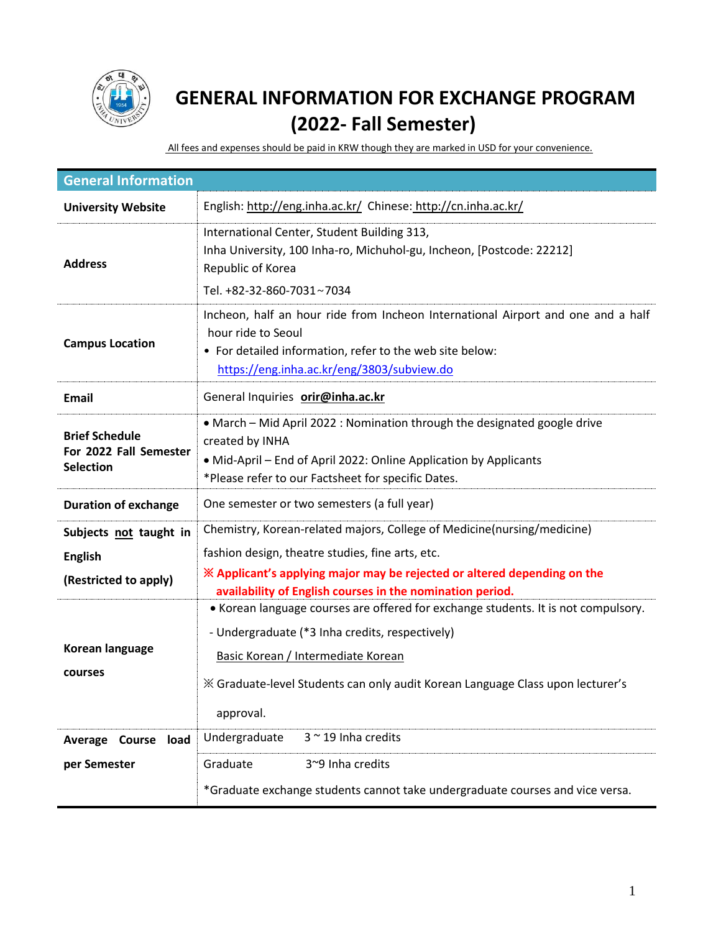

## **GENERAL INFORMATION FOR EXCHANGE PROGRAM (2022- Fall Semester)**

All fees and expenses should be paid in KRW though they are marked in USD for your convenience.

| <b>General Information</b>                                          |                                                                                                                                                                                                                                                                                                                                                            |  |  |
|---------------------------------------------------------------------|------------------------------------------------------------------------------------------------------------------------------------------------------------------------------------------------------------------------------------------------------------------------------------------------------------------------------------------------------------|--|--|
| <b>University Website</b>                                           | English: http://eng.inha.ac.kr/ Chinese: http://cn.inha.ac.kr/                                                                                                                                                                                                                                                                                             |  |  |
| <b>Address</b>                                                      | International Center, Student Building 313,<br>Inha University, 100 Inha-ro, Michuhol-gu, Incheon, [Postcode: 22212]<br>Republic of Korea<br>Tel. +82-32-860-7031~7034                                                                                                                                                                                     |  |  |
| <b>Campus Location</b>                                              | Incheon, half an hour ride from Incheon International Airport and one and a half<br>hour ride to Seoul<br>• For detailed information, refer to the web site below:<br>https://eng.inha.ac.kr/eng/3803/subview.do                                                                                                                                           |  |  |
| Email                                                               | General Inquiries orir@inha.ac.kr                                                                                                                                                                                                                                                                                                                          |  |  |
| <b>Brief Schedule</b><br>For 2022 Fall Semester<br><b>Selection</b> | • March – Mid April 2022 : Nomination through the designated google drive<br>created by INHA<br>• Mid-April – End of April 2022: Online Application by Applicants<br>*Please refer to our Factsheet for specific Dates.                                                                                                                                    |  |  |
| <b>Duration of exchange</b>                                         | One semester or two semesters (a full year)                                                                                                                                                                                                                                                                                                                |  |  |
| Subjects not taught in<br><b>English</b><br>(Restricted to apply)   | Chemistry, Korean-related majors, College of Medicine(nursing/medicine)<br>fashion design, theatre studies, fine arts, etc.<br>X Applicant's applying major may be rejected or altered depending on the<br>availability of English courses in the nomination period.<br>• Korean language courses are offered for exchange students. It is not compulsory. |  |  |
| Korean language<br>courses                                          | - Undergraduate (*3 Inha credits, respectively)<br>Basic Korean / Intermediate Korean<br>X Graduate-level Students can only audit Korean Language Class upon lecturer's<br>approval.                                                                                                                                                                       |  |  |
| Average Course load                                                 | $3$ $\sim$ 19 Inha credits<br>Undergraduate                                                                                                                                                                                                                                                                                                                |  |  |
| per Semester                                                        | Graduate<br>3~9 Inha credits<br>*Graduate exchange students cannot take undergraduate courses and vice versa.                                                                                                                                                                                                                                              |  |  |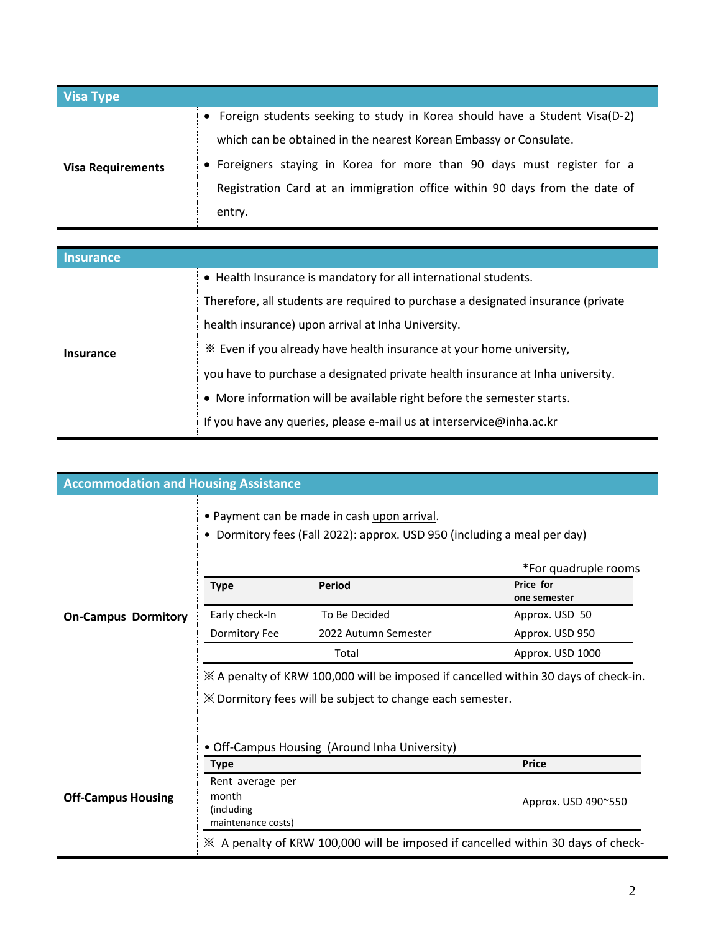| <b>Visa Type</b>         |                                                                              |
|--------------------------|------------------------------------------------------------------------------|
|                          | • Foreign students seeking to study in Korea should have a Student Visa(D-2) |
|                          | which can be obtained in the nearest Korean Embassy or Consulate.            |
| <b>Visa Requirements</b> | • Foreigners staying in Korea for more than 90 days must register for a      |
|                          | Registration Card at an immigration office within 90 days from the date of   |
|                          | entry.                                                                       |

| <b>Insurance</b> |                                                                                  |  |
|------------------|----------------------------------------------------------------------------------|--|
| <b>Insurance</b> | • Health Insurance is mandatory for all international students.                  |  |
|                  | Therefore, all students are required to purchase a designated insurance (private |  |
|                  | health insurance) upon arrival at Inha University.                               |  |
|                  | * Even if you already have health insurance at your home university,             |  |
|                  | you have to purchase a designated private health insurance at Inha university.   |  |
|                  | • More information will be available right before the semester starts.           |  |
|                  | If you have any queries, please e-mail us at interservice@inha.ac.kr             |  |

| <b>Accommodation and Housing Assistance</b> |                                                                |                                                                                                                                                                                                                                                                                                                                                    |                                                                                                            |
|---------------------------------------------|----------------------------------------------------------------|----------------------------------------------------------------------------------------------------------------------------------------------------------------------------------------------------------------------------------------------------------------------------------------------------------------------------------------------------|------------------------------------------------------------------------------------------------------------|
| <b>On-Campus Dormitory</b>                  | <b>Type</b><br>Early check-In<br>Dormitory Fee                 | . Payment can be made in cash upon arrival.<br>• Dormitory fees (Fall 2022): approx. USD 950 (including a meal per day)<br><b>Period</b><br>To Be Decided<br>2022 Autumn Semester<br>Total<br>$\%$ A penalty of KRW 100,000 will be imposed if cancelled within 30 days of check-in.<br>XX Dormitory fees will be subject to change each semester. | *For quadruple rooms<br>Price for<br>one semester<br>Approx. USD 50<br>Approx. USD 950<br>Approx. USD 1000 |
| <b>Off-Campus Housing</b>                   | Type                                                           | • Off-Campus Housing (Around Inha University)                                                                                                                                                                                                                                                                                                      | <b>Price</b>                                                                                               |
|                                             | Rent average per<br>month<br>(including)<br>maintenance costs) |                                                                                                                                                                                                                                                                                                                                                    | Approx. USD 490~550                                                                                        |
|                                             |                                                                | ※ A penalty of KRW 100,000 will be imposed if cancelled within 30 days of check-                                                                                                                                                                                                                                                                   |                                                                                                            |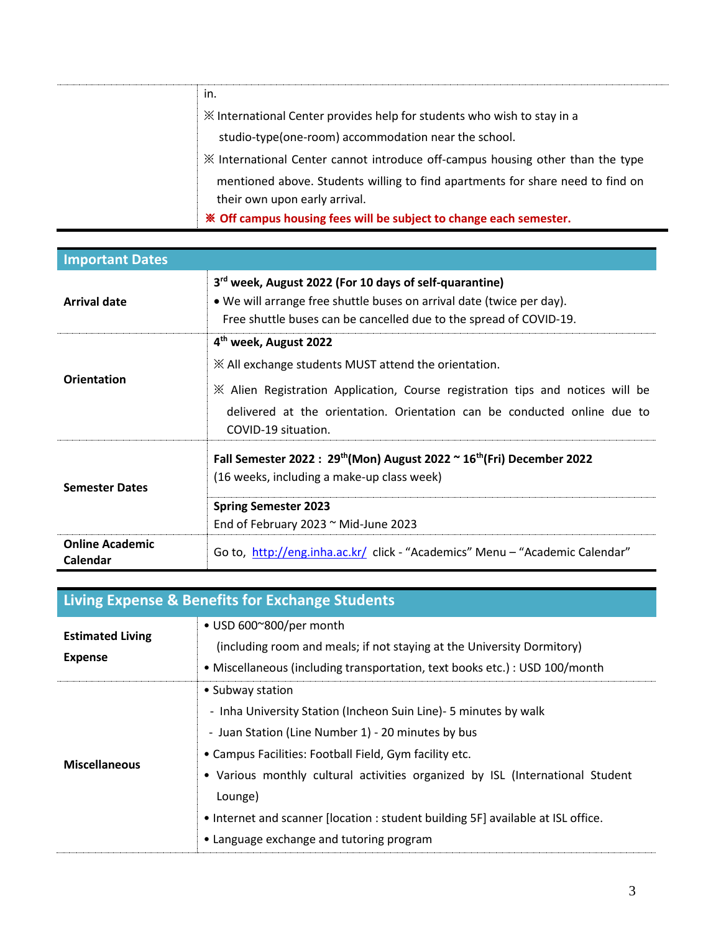| in.                                                                                                             |
|-----------------------------------------------------------------------------------------------------------------|
| X International Center provides help for students who wish to stay in a                                         |
| studio-type(one-room) accommodation near the school.                                                            |
| * International Center cannot introduce off-campus housing other than the type                                  |
| mentioned above. Students willing to find apartments for share need to find on<br>their own upon early arrival. |
| * Off campus housing fees will be subject to change each semester.                                              |

| <b>Important Dates</b>             |                                                                                                                                                                                                                                                                                                    |  |  |
|------------------------------------|----------------------------------------------------------------------------------------------------------------------------------------------------------------------------------------------------------------------------------------------------------------------------------------------------|--|--|
| <b>Arrival date</b>                | 3 <sup>rd</sup> week, August 2022 (For 10 days of self-quarantine)<br>• We will arrange free shuttle buses on arrival date (twice per day).<br>Free shuttle buses can be cancelled due to the spread of COVID-19.                                                                                  |  |  |
| <b>Orientation</b>                 | 4 <sup>th</sup> week, August 2022<br>$\mathbb X$ All exchange students MUST attend the orientation.<br>$\mathbb X$ Alien Registration Application, Course registration tips and notices will be<br>delivered at the orientation. Orientation can be conducted online due to<br>COVID-19 situation. |  |  |
| <b>Semester Dates</b>              | Fall Semester 2022: $29th$ (Mon) August 2022 $\sim$ 16 <sup>th</sup> (Fri) December 2022<br>(16 weeks, including a make-up class week)<br><b>Spring Semester 2023</b><br>End of February 2023 $\sim$ Mid-June 2023                                                                                 |  |  |
| <b>Online Academic</b><br>Calendar | Go to, http://eng.inha.ac.kr/ click - "Academics" Menu - "Academic Calendar"                                                                                                                                                                                                                       |  |  |

| Living Expense & Benefits for Exchange Students |                                                                                                                                                                                                                                                                                                                                                                                                                                   |  |
|-------------------------------------------------|-----------------------------------------------------------------------------------------------------------------------------------------------------------------------------------------------------------------------------------------------------------------------------------------------------------------------------------------------------------------------------------------------------------------------------------|--|
| <b>Estimated Living</b><br><b>Expense</b>       | • USD 600~800/per month<br>(including room and meals; if not staying at the University Dormitory)<br>• Miscellaneous (including transportation, text books etc.) : USD 100/month                                                                                                                                                                                                                                                  |  |
| <b>Miscellaneous</b>                            | • Subway station<br>- Inha University Station (Incheon Suin Line) - 5 minutes by walk<br>- Juan Station (Line Number 1) - 20 minutes by bus<br>• Campus Facilities: Football Field, Gym facility etc.<br>• Various monthly cultural activities organized by ISL (International Student<br>Lounge)<br>. Internet and scanner [location : student building 5F] available at ISL office.<br>• Language exchange and tutoring program |  |